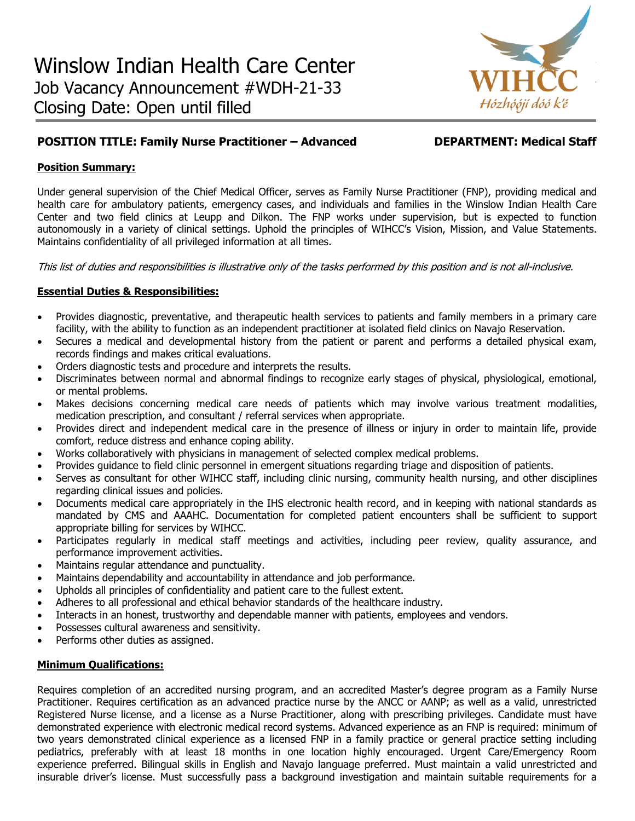

# **POSITION TITLE: Family Nurse Practitioner – Advanced DEPARTMENT: Medical Staff**

# **Position Summary:**

Under general supervision of the Chief Medical Officer, serves as Family Nurse Practitioner (FNP), providing medical and health care for ambulatory patients, emergency cases, and individuals and families in the Winslow Indian Health Care Center and two field clinics at Leupp and Dilkon. The FNP works under supervision, but is expected to function autonomously in a variety of clinical settings. Uphold the principles of WIHCC's Vision, Mission, and Value Statements. Maintains confidentiality of all privileged information at all times.

This list of duties and responsibilities is illustrative only of the tasks performed by this position and is not all-inclusive.

# **Essential Duties & Responsibilities:**

- Provides diagnostic, preventative, and therapeutic health services to patients and family members in a primary care facility, with the ability to function as an independent practitioner at isolated field clinics on Navajo Reservation.
- Secures a medical and developmental history from the patient or parent and performs a detailed physical exam, records findings and makes critical evaluations.
- Orders diagnostic tests and procedure and interprets the results.
- Discriminates between normal and abnormal findings to recognize early stages of physical, physiological, emotional, or mental problems.
- Makes decisions concerning medical care needs of patients which may involve various treatment modalities, medication prescription, and consultant / referral services when appropriate.
- Provides direct and independent medical care in the presence of illness or injury in order to maintain life, provide comfort, reduce distress and enhance coping ability.
- Works collaboratively with physicians in management of selected complex medical problems.
- Provides guidance to field clinic personnel in emergent situations regarding triage and disposition of patients.
- Serves as consultant for other WIHCC staff, including clinic nursing, community health nursing, and other disciplines regarding clinical issues and policies.
- Documents medical care appropriately in the IHS electronic health record, and in keeping with national standards as mandated by CMS and AAAHC. Documentation for completed patient encounters shall be sufficient to support appropriate billing for services by WIHCC.
- Participates regularly in medical staff meetings and activities, including peer review, quality assurance, and performance improvement activities.
- Maintains regular attendance and punctuality.
- Maintains dependability and accountability in attendance and job performance.
- Upholds all principles of confidentiality and patient care to the fullest extent.
- Adheres to all professional and ethical behavior standards of the healthcare industry.
- Interacts in an honest, trustworthy and dependable manner with patients, employees and vendors.
- Possesses cultural awareness and sensitivity.
- Performs other duties as assigned.

### **Minimum Qualifications:**

Requires completion of an accredited nursing program, and an accredited Master's degree program as a Family Nurse Practitioner. Requires certification as an advanced practice nurse by the ANCC or AANP; as well as a valid, unrestricted Registered Nurse license, and a license as a Nurse Practitioner, along with prescribing privileges. Candidate must have demonstrated experience with electronic medical record systems. Advanced experience as an FNP is required: minimum of two years demonstrated clinical experience as a licensed FNP in a family practice or general practice setting including pediatrics, preferably with at least 18 months in one location highly encouraged. Urgent Care/Emergency Room experience preferred. Bilingual skills in English and Navajo language preferred. Must maintain a valid unrestricted and insurable driver's license. Must successfully pass a background investigation and maintain suitable requirements for a